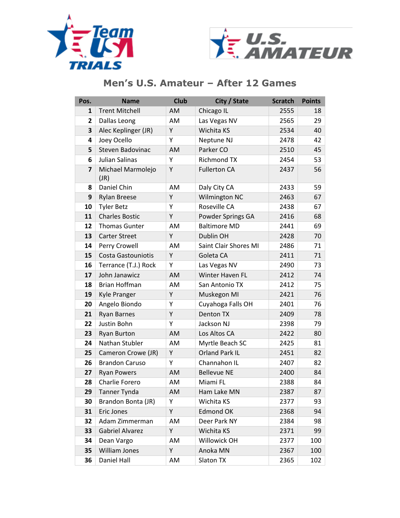



| Pos.                    | <b>Name</b>               | <b>Club</b> | City / State          | <b>Scratch</b> | <b>Points</b> |
|-------------------------|---------------------------|-------------|-----------------------|----------------|---------------|
| 1                       | <b>Trent Mitchell</b>     | AM          | Chicago IL            | 2555           | 18            |
| $\overline{2}$          | Dallas Leong              | AM          | Las Vegas NV          | 2565           | 29            |
| 3                       | Alec Keplinger (JR)       | Y           | Wichita KS            | 2534           | 40            |
| 4                       | Joey Ocello               | Y           | Neptune NJ            | 2478           | 42            |
| 5                       | Steven Badovinac          | AM          | Parker CO             | 2510           | 45            |
| 6                       | Julian Salinas            | Y           | <b>Richmond TX</b>    | 2454           | 53            |
| $\overline{\mathbf{z}}$ | Michael Marmolejo<br>(JR) | Υ           | <b>Fullerton CA</b>   | 2437           | 56            |
| 8                       | Daniel Chin               | AM          | Daly City CA          | 2433           | 59            |
| 9                       | <b>Rylan Breese</b>       | Y           | Wilmington NC         | 2463           | 67            |
| 10                      | <b>Tyler Betz</b>         | Y           | Roseville CA          | 2438           | 67            |
| 11                      | <b>Charles Bostic</b>     | Υ           | Powder Springs GA     | 2416           | 68            |
| 12                      | <b>Thomas Gunter</b>      | AM          | <b>Baltimore MD</b>   | 2441           | 69            |
| 13                      | <b>Carter Street</b>      | Y           | Dublin OH             | 2428           | 70            |
| 14                      | Perry Crowell             | AM          | Saint Clair Shores MI | 2486           | 71            |
| 15                      | <b>Costa Gastouniotis</b> | Υ           | Goleta CA             | 2411           | 71            |
| 16                      | Terrance (T.J.) Rock      | Y           | Las Vegas NV          | 2490           | 73            |
| 17                      | John Janawicz             | AM          | Winter Haven FL       | 2412           | 74            |
| 18                      | Brian Hoffman             | AM          | San Antonio TX        | 2412           | 75            |
| 19                      | Kyle Pranger              | Υ           | Muskegon MI           | 2421           | 76            |
| 20                      | Angelo Biondo             | Y           | Cuyahoga Falls OH     | 2401           | 76            |
| 21                      | <b>Ryan Barnes</b>        | Υ           | Denton TX             | 2409           | 78            |
| 22                      | Justin Bohn               | Υ           | Jackson NJ            | 2398           | 79            |
| 23                      | <b>Ryan Burton</b>        | AM          | Los Altos CA          | 2422           | 80            |
| 24                      | Nathan Stubler            | <b>AM</b>   | Myrtle Beach SC       | 2425           | 81            |
| 25                      | Cameron Crowe (JR)        | Y           | <b>Orland Park IL</b> | 2451           | 82            |
| 26                      | <b>Brandon Caruso</b>     | Υ           | Channahon IL          | 2407           | 82            |
| 27                      | <b>Ryan Powers</b>        | AM          | <b>Bellevue NE</b>    | 2400           | 84            |
| 28                      | Charlie Forero            | AM          | Miami FL              | 2388           | 84            |
| 29                      | Tanner Tynda              | AM          | Ham Lake MN           | 2387           | 87            |
| 30                      | Brandon Bonta (JR)        | Υ           | Wichita KS            | 2377           | 93            |
| 31                      | Eric Jones                | Υ           | <b>Edmond OK</b>      | 2368           | 94            |
| 32                      | Adam Zimmerman            | AM          | Deer Park NY          | 2384           | 98            |
| 33                      | <b>Gabriel Alvarez</b>    | Υ           | Wichita KS            | 2371           | 99            |
| 34                      | Dean Vargo                | AM          | Willowick OH          | 2377           | 100           |
| 35                      | William Jones             | Υ           | Anoka MN              | 2367           | 100           |
| 36                      | Daniel Hall               | AM          | Slaton TX             | 2365           | 102           |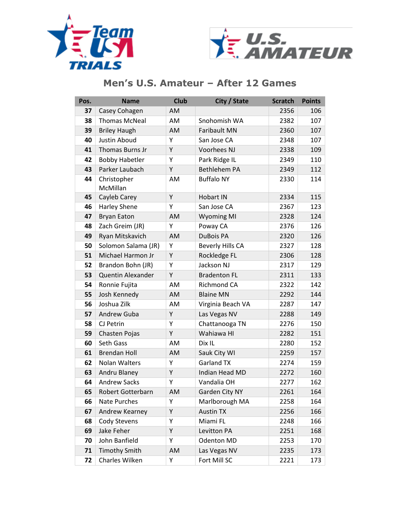



| Pos. | <b>Name</b>             | <b>Club</b> | City / State            | <b>Scratch</b> | <b>Points</b> |
|------|-------------------------|-------------|-------------------------|----------------|---------------|
| 37   | Casey Cohagen           | AM          |                         | 2356           | 106           |
| 38   | <b>Thomas McNeal</b>    | AM          | Snohomish WA            | 2382           | 107           |
| 39   | <b>Briley Haugh</b>     | AM          | <b>Faribault MN</b>     | 2360           | 107           |
| 40   | Justin Aboud            | Υ           | San Jose CA             | 2348           | 107           |
| 41   | Thomas Burns Jr         | Y           | Voorhees NJ             | 2338           | 109           |
| 42   | <b>Bobby Habetler</b>   | Υ           | Park Ridge IL           | 2349           | 110           |
| 43   | Parker Laubach          | Y           | <b>Bethlehem PA</b>     | 2349           | 112           |
| 44   | Christopher<br>McMillan | AM          | <b>Buffalo NY</b>       | 2330           | 114           |
| 45   | Cayleb Carey            | Y           | <b>Hobart IN</b>        | 2334           | 115           |
| 46   | Harley Shene            | Y           | San Jose CA             | 2367           | 123           |
| 47   | <b>Bryan Eaton</b>      | AM          | <b>Wyoming MI</b>       | 2328           | 124           |
| 48   | Zach Greim (JR)         | Υ           | Poway CA                | 2376           | 126           |
| 49   | Ryan Mitskavich         | AM          | <b>DuBois PA</b>        | 2320           | 126           |
| 50   | Solomon Salama (JR)     | Υ           | <b>Beverly Hills CA</b> | 2327           | 128           |
| 51   | Michael Harmon Jr       | Y           | Rockledge FL            | 2306           | 128           |
| 52   | Brandon Bohn (JR)       | Υ           | Jackson NJ              | 2317           | 129           |
| 53   | Quentin Alexander       | Y           | <b>Bradenton FL</b>     | 2311           | 133           |
| 54   | Ronnie Fujita           | AM          | Richmond CA             | 2322           | 142           |
| 55   | Josh Kennedy            | AM          | <b>Blaine MN</b>        | 2292           | 144           |
| 56   | Joshua Zilk             | AM          | Virginia Beach VA       | 2287           | 147           |
| 57   | Andrew Guba             | Υ           | Las Vegas NV            | 2288           | 149           |
| 58   | CJ Petrin               | Υ           | Chattanooga TN          | 2276           | 150           |
| 59   | Chasten Pojas           | Υ           | Wahiawa HI              | 2282           | 151           |
| 60   | Seth Gass               | AM          | Dix IL                  | 2280           | 152           |
| 61   | <b>Brendan Holl</b>     | AM          | Sauk City WI            | 2259           | 157           |
| 62   | <b>Nolan Walters</b>    | Υ           | <b>Garland TX</b>       | 2274           | 159           |
| 63   | Andru Blaney            | Υ           | Indian Head MD          | 2272           | 160           |
| 64   | <b>Andrew Sacks</b>     | Υ           | Vandalia OH             | 2277           | 162           |
| 65   | Robert Gotterbarn       | AM          | Garden City NY          | 2261           | 164           |
| 66   | Nate Purches            | Υ           | Marlborough MA          | 2258           | 164           |
| 67   | Andrew Kearney          | Υ           | <b>Austin TX</b>        | 2256           | 166           |
| 68   | Cody Stevens            | Υ           | Miami FL                | 2248           | 166           |
| 69   | Jake Feher              | Υ           | Levitton PA             | 2251           | 168           |
| 70   | John Banfield           | Υ           | Odenton MD              | 2253           | 170           |
| 71   | <b>Timothy Smith</b>    | AM          | Las Vegas NV            | 2235           | 173           |
| 72   | Charles Wilken          | Υ           | Fort Mill SC            | 2221           | 173           |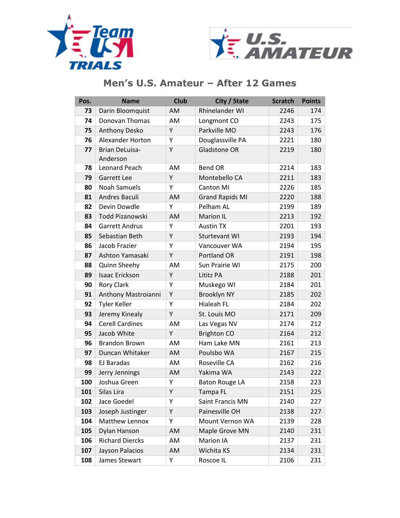



| Pos.       | <b>Name</b>            | <b>Club</b> | City / State           | <b>Scratch</b> | <b>Points</b> |
|------------|------------------------|-------------|------------------------|----------------|---------------|
| 73         | Darin Bloomquist       | AM          | Rhinelander WI         | 2246           | 174           |
| 74         | Donovan Thomas         | AM          | Longmont CO            | 2243           | 175           |
| 75         | <b>Anthony Desko</b>   | Y           | Parkville MO           | 2243           | 176           |
| 76         | Alexander Horton       | Y           | Douglassville PA       | 2221           | 180           |
| 77         | <b>Brian DeLuisa-</b>  | Y           | <b>Gladstone OR</b>    | 2219           | 180           |
|            | Anderson               |             |                        |                |               |
| 78         | Leonard Peach          | AM          | <b>Bend OR</b>         | 2214           | 183           |
| 79         | <b>Garrett Lee</b>     | Y           | Montebello CA          | 2211           | 183           |
| 80         | <b>Noah Samuels</b>    | Υ           | <b>Canton MI</b>       | 2226           | 185           |
| 81         | Andres Baculi          | AM          | <b>Grand Rapids MI</b> | 2220           | 188           |
| 82         | Devin Dowdle           | Y           | Pelham AL              | 2199           | 189           |
| 83         | Todd Pizanowski        | AM          | <b>Marion IL</b>       | 2213           | 192           |
| 84         | <b>Garrett Andrus</b>  | Y           | <b>Austin TX</b>       | 2201           | 193           |
| 85         | Sebastian Beth         | Y           | Sturtevant WI          | 2193           | 194           |
| 86         | Jacob Frazier          | Υ           | Vancouver WA           | 2194           | 195           |
| 87         | Ashton Yamasaki        | Y           | Portland OR            | 2191           | 198           |
| 88         | Quinn Sheehy           | AM          | Sun Prairie WI         | 2175           | 200           |
| 89         | <b>Isaac Erickson</b>  | Y           | Lititz PA              | 2188           | 201           |
| 90         | Rory Clark             | Y           | Muskego WI             | 2184           | 201           |
| 91         | Anthony Mastroianni    | Υ           | Brooklyn NY            | 2185           | 202           |
| 92         | <b>Tyler Keller</b>    | Υ           | <b>Hialeah FL</b>      | 2184           | 202           |
| 93         | Jeremy Kinealy         | Y           | St. Louis MO           | 2171           | 209           |
| 94         | <b>Cerell Cardines</b> | AM          | Las Vegas NV           | 2174           | 212           |
| 95         | Jacob White            | Y           | <b>Brighton CO</b>     | 2164           | 212           |
| 96         | <b>Brandon Brown</b>   | AM          | Ham Lake MN            | 2161           | 213           |
| 97         | Duncan Whitaker        | AM          | Poulsbo WA             | 2167           | 215           |
| 98         | EJ Baradas             | AM          | Roseville CA           | 2162           | 216           |
| 99         | Jerry Jennings         | AM          | Yakima WA              | 2143           | 222           |
| 100        | Joshua Green           | Υ           | <b>Baton Rouge LA</b>  | 2158           | 223           |
| <b>101</b> | Silas Lira             | Y           | Tampa FL               | 2151           | 225           |
| 102        | Jace Goedel            | Υ           | Saint Francis MN       | 2140           | 227           |
| 103        | Joseph Justinger       | Υ           | Painesville OH         | 2138           | 227           |
| 104        | Matthew Lennox         | Υ           | Mount Vernon WA        | 2139           | 228           |
| 105        | Dylan Hanson           | AM          | Maple Grove MN         | 2140           | 231           |
| 106        | <b>Richard Diercks</b> | AM          | Marion IA              | 2137           | 231           |
| 107        | Jayson Palacios        | AM          | Wichita KS             | 2134           | 231           |
| 108        | James Stewart          | Υ           | Roscoe IL              | 2106           | 231           |